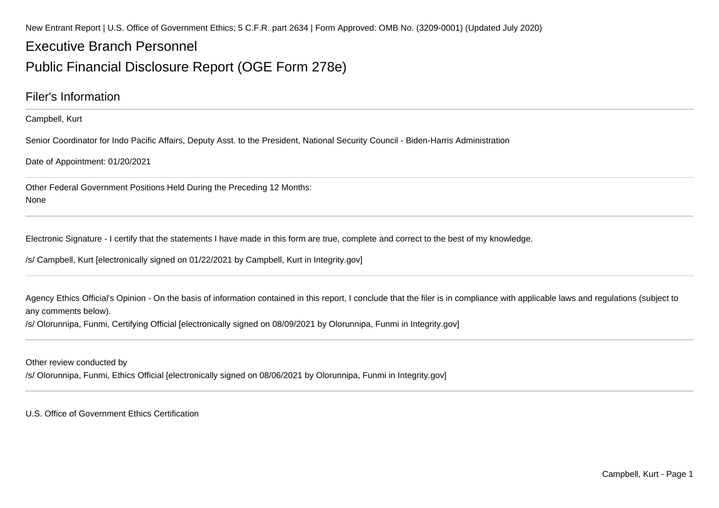New Entrant Report | U.S. Office of Government Ethics; 5 C.F.R. part 2634 | Form Approved: OMB No. (3209-0001) (Updated July 2020)

# Executive Branch Personnel

# Public Financial Disclosure Report (OGE Form 278e)

### Filer's Information

Campbell, Kurt

Senior Coordinator for Indo Pacific Affairs, Deputy Asst. to the President, National Security Council - Biden-Harris Administration

Date of Appointment: 01/20/2021

Other Federal Government Positions Held During the Preceding 12 Months:None

Electronic Signature - I certify that the statements I have made in this form are true, complete and correct to the best of my knowledge.

/s/ Campbell, Kurt [electronically signed on 01/22/2021 by Campbell, Kurt in Integrity.gov]

Agency Ethics Official's Opinion - On the basis of information contained in this report, I conclude that the filer is in compliance with applicable laws and regulations (subject to any comments below).

/s/ Olorunnipa, Funmi, Certifying Official [electronically signed on 08/09/2021 by Olorunnipa, Funmi in Integrity.gov]

Other review conducted by

/s/ Olorunnipa, Funmi, Ethics Official [electronically signed on 08/06/2021 by Olorunnipa, Funmi in Integrity.gov]

U.S. Office of Government Ethics Certification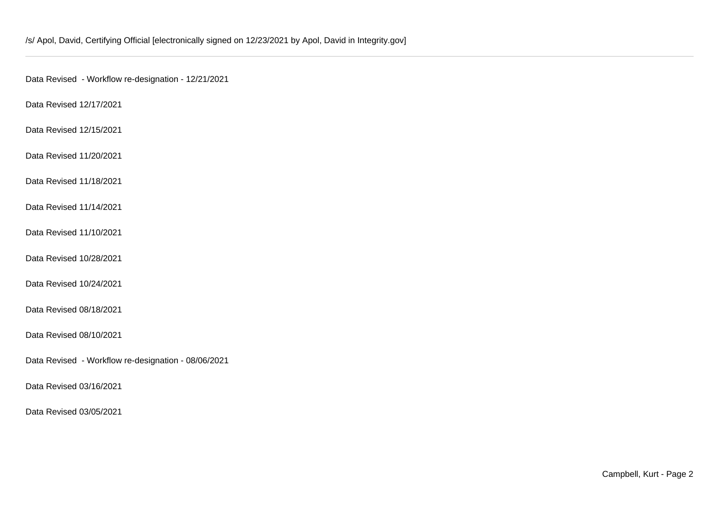Data Revised - Workflow re-designation - 12/21/2021

Data Revised 12/17/2021

Data Revised 12/15/2021

Data Revised 11/20/2021

Data Revised 11/18/2021

Data Revised 11/14/2021

Data Revised 11/10/2021

Data Revised 10/28/2021

Data Revised 10/24/2021

Data Revised 08/18/2021

Data Revised 08/10/2021

Data Revised - Workflow re-designation - 08/06/2021

Data Revised 03/16/2021

Data Revised 03/05/2021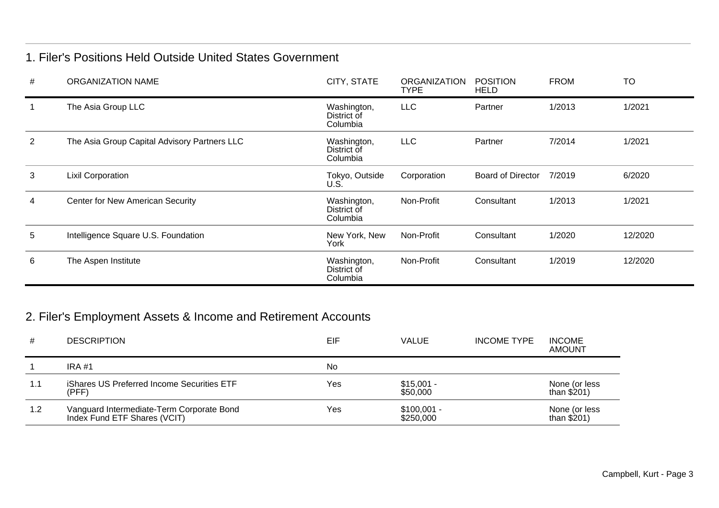### 1. Filer's Positions Held Outside United States Government

| # | <b>ORGANIZATION NAME</b>                     | CITY, STATE                            | <b>ORGANIZATION</b><br><b>TYPE</b> | <b>POSITION</b><br><b>HELD</b> | <b>FROM</b> | <b>TO</b> |
|---|----------------------------------------------|----------------------------------------|------------------------------------|--------------------------------|-------------|-----------|
|   | The Asia Group LLC                           | Washington,<br>District of<br>Columbia | <b>LLC</b>                         | Partner                        | 1/2013      | 1/2021    |
| 2 | The Asia Group Capital Advisory Partners LLC | Washington,<br>District of<br>Columbia | <b>LLC</b>                         | Partner                        | 7/2014      | 1/2021    |
| 3 | <b>Lixil Corporation</b>                     | Tokyo, Outside<br>U.S.                 | Corporation                        | Board of Director              | 7/2019      | 6/2020    |
| 4 | Center for New American Security             | Washington,<br>District of<br>Columbia | Non-Profit                         | Consultant                     | 1/2013      | 1/2021    |
| 5 | Intelligence Square U.S. Foundation          | New York, New<br>York                  | Non-Profit                         | Consultant                     | 1/2020      | 12/2020   |
| 6 | The Aspen Institute                          | Washington,<br>District of<br>Columbia | Non-Profit                         | Consultant                     | 1/2019      | 12/2020   |

# 2. Filer's Employment Assets & Income and Retirement Accounts

| #   | <b>DESCRIPTION</b>                                                        | EIF | VALUE                     | <b>INCOME TYPE</b> | <b>INCOME</b><br><b>AMOUNT</b> |
|-----|---------------------------------------------------------------------------|-----|---------------------------|--------------------|--------------------------------|
|     | <b>IRA #1</b>                                                             | No  |                           |                    |                                |
| 1.1 | iShares US Preferred Income Securities ETF<br>(PFF)                       | Yes | $$15,001 -$<br>\$50,000   |                    | None (or less<br>than $$201)$  |
| 1.2 | Vanguard Intermediate-Term Corporate Bond<br>Index Fund ETF Shares (VCIT) | Yes | $$100,001 -$<br>\$250,000 |                    | None (or less<br>than $$201)$  |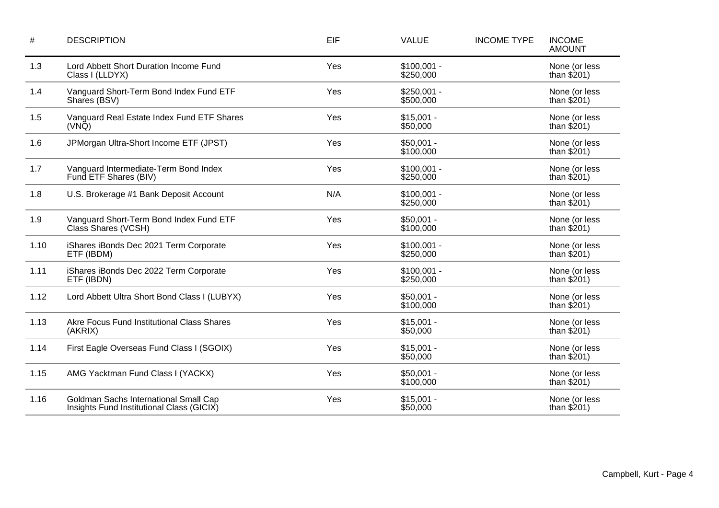| $\#$ | <b>DESCRIPTION</b>                                                                 | EIF | <b>VALUE</b>              | <b>INCOME TYPE</b> | <b>INCOME</b><br><b>AMOUNT</b> |
|------|------------------------------------------------------------------------------------|-----|---------------------------|--------------------|--------------------------------|
| 1.3  | Lord Abbett Short Duration Income Fund<br>Class I (LLDYX)                          | Yes | $$100,001 -$<br>\$250,000 |                    | None (or less<br>than $$201)$  |
| 1.4  | Vanguard Short-Term Bond Index Fund ETF<br>Shares (BSV)                            | Yes | $$250,001 -$<br>\$500,000 |                    | None (or less<br>than $$201)$  |
| 1.5  | Vanguard Real Estate Index Fund ETF Shares<br>$(VN\tilde{Q})$                      | Yes | $$15,001 -$<br>\$50,000   |                    | None (or less<br>than $$201)$  |
| 1.6  | JPMorgan Ultra-Short Income ETF (JPST)                                             | Yes | $$50,001 -$<br>\$100,000  |                    | None (or less<br>than $$201)$  |
| 1.7  | Vanguard Intermediate-Term Bond Index<br>Fund ETF Shares (BIV)                     | Yes | $$100,001 -$<br>\$250,000 |                    | None (or less<br>than $$201)$  |
| 1.8  | U.S. Brokerage #1 Bank Deposit Account                                             | N/A | $$100,001 -$<br>\$250,000 |                    | None (or less<br>than $$201)$  |
| 1.9  | Vanguard Short-Term Bond Index Fund ETF<br>Class Shares (VCSH)                     | Yes | $$50,001 -$<br>\$100,000  |                    | None (or less<br>than $$201)$  |
| 1.10 | iShares iBonds Dec 2021 Term Corporate<br>ETF (IBDM)                               | Yes | $$100,001 -$<br>\$250,000 |                    | None (or less<br>than $$201)$  |
| 1.11 | iShares iBonds Dec 2022 Term Corporate<br>ETF (IBDN)                               | Yes | $$100,001 -$<br>\$250,000 |                    | None (or less<br>than $$201)$  |
| 1.12 | Lord Abbett Ultra Short Bond Class I (LUBYX)                                       | Yes | $$50,001 -$<br>\$100,000  |                    | None (or less<br>than $$201)$  |
| 1.13 | Akre Focus Fund Institutional Class Shares<br>(AKRIX)                              | Yes | $$15,001 -$<br>\$50,000   |                    | None (or less<br>than $$201)$  |
| 1.14 | First Eagle Overseas Fund Class I (SGOIX)                                          | Yes | $$15,001 -$<br>\$50,000   |                    | None (or less<br>than $$201)$  |
| 1.15 | AMG Yacktman Fund Class I (YACKX)                                                  | Yes | $$50,001 -$<br>\$100,000  |                    | None (or less<br>than $$201)$  |
| 1.16 | Goldman Sachs International Small Cap<br>Insights Fund Institutional Class (GICIX) | Yes | $$15,001 -$<br>\$50,000   |                    | None (or less<br>than $$201)$  |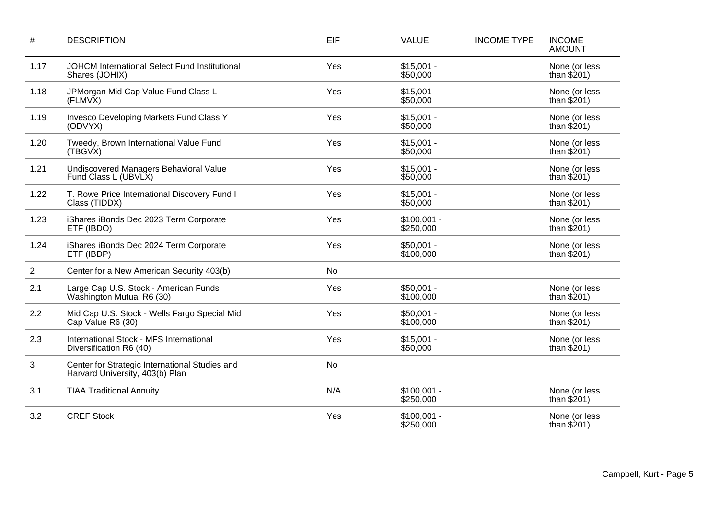| $\#$           | <b>DESCRIPTION</b>                                                                | EIF | <b>VALUE</b>              | <b>INCOME TYPE</b> | <b>INCOME</b><br><b>AMOUNT</b> |
|----------------|-----------------------------------------------------------------------------------|-----|---------------------------|--------------------|--------------------------------|
| 1.17           | JOHCM International Select Fund Institutional<br>Shares (JOHIX)                   | Yes | $$15,001 -$<br>\$50,000   |                    | None (or less<br>than $$201)$  |
| 1.18           | JPMorgan Mid Cap Value Fund Class L<br>(FLMVX)                                    | Yes | $$15,001 -$<br>\$50,000   |                    | None (or less<br>than $$201)$  |
| 1.19           | Invesco Developing Markets Fund Class Y<br>(ODVYX)                                | Yes | $$15,001 -$<br>\$50,000   |                    | None (or less<br>than $$201)$  |
| 1.20           | Tweedy, Brown International Value Fund<br>(TBGVX)                                 | Yes | $$15,001 -$<br>\$50,000   |                    | None (or less<br>than $$201)$  |
| 1.21           | Undiscovered Managers Behavioral Value<br>Fund Class L (UBVLX)                    | Yes | $$15,001 -$<br>\$50,000   |                    | None (or less<br>than $$201)$  |
| 1.22           | T. Rowe Price International Discovery Fund I<br>Class (TIDDX)                     | Yes | $$15,001 -$<br>\$50,000   |                    | None (or less<br>than $$201)$  |
| 1.23           | iShares iBonds Dec 2023 Term Corporate<br>ETF (IBDO)                              | Yes | $$100,001 -$<br>\$250,000 |                    | None (or less<br>than $$201)$  |
| 1.24           | iShares iBonds Dec 2024 Term Corporate<br>ETF (IBDP)                              | Yes | $$50,001 -$<br>\$100,000  |                    | None (or less<br>than $$201)$  |
| $\overline{2}$ | Center for a New American Security 403(b)                                         | No  |                           |                    |                                |
| 2.1            | Large Cap U.S. Stock - American Funds<br>Washington Mutual R6 (30)                | Yes | $$50,001 -$<br>\$100,000  |                    | None (or less<br>than $$201)$  |
| 2.2            | Mid Cap U.S. Stock - Wells Fargo Special Mid<br>Cap Value R6 (30)                 | Yes | $$50,001 -$<br>\$100,000  |                    | None (or less<br>than $$201)$  |
| 2.3            | International Stock - MFS International<br>Diversification R6 (40)                | Yes | $$15,001 -$<br>\$50,000   |                    | None (or less<br>than $$201)$  |
| $\sqrt{3}$     | Center for Strategic International Studies and<br>Harvard University, 403(b) Plan | No  |                           |                    |                                |
| 3.1            | <b>TIAA Traditional Annuity</b>                                                   | N/A | $$100,001 -$<br>\$250,000 |                    | None (or less<br>than $$201)$  |
| 3.2            | <b>CREF Stock</b>                                                                 | Yes | $$100,001 -$<br>\$250,000 |                    | None (or less<br>than $$201)$  |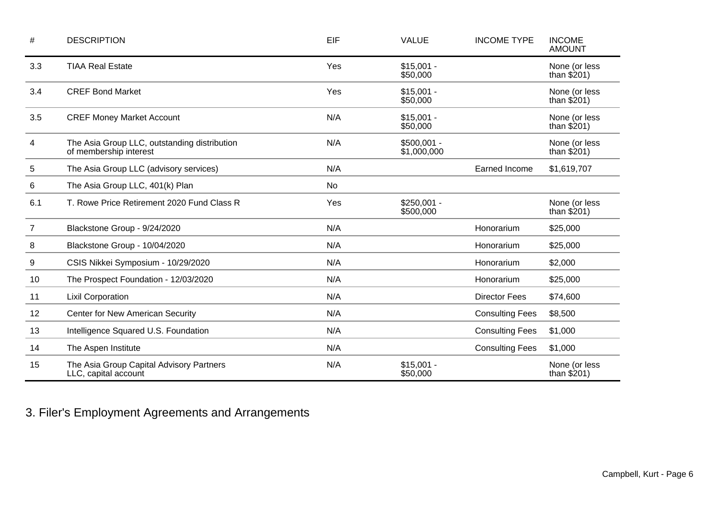| #              | <b>DESCRIPTION</b>                                                     | EIF | <b>VALUE</b>                | <b>INCOME TYPE</b>     | <b>INCOME</b><br><b>AMOUNT</b> |
|----------------|------------------------------------------------------------------------|-----|-----------------------------|------------------------|--------------------------------|
| 3.3            | <b>TIAA Real Estate</b>                                                | Yes | $$15,001 -$<br>\$50,000     |                        | None (or less<br>than \$201)   |
| 3.4            | <b>CREF Bond Market</b>                                                | Yes | $$15,001 -$<br>\$50,000     |                        | None (or less<br>than $$201)$  |
| 3.5            | <b>CREF Money Market Account</b>                                       | N/A | $$15,001 -$<br>\$50,000     |                        | None (or less<br>than $$201)$  |
| 4              | The Asia Group LLC, outstanding distribution<br>of membership interest | N/A | $$500,001 -$<br>\$1,000,000 |                        | None (or less<br>than $$201)$  |
| 5              | The Asia Group LLC (advisory services)                                 | N/A |                             | Earned Income          | \$1,619,707                    |
| 6              | The Asia Group LLC, 401(k) Plan                                        | No  |                             |                        |                                |
| 6.1            | T. Rowe Price Retirement 2020 Fund Class R                             | Yes | $$250,001 -$<br>\$500,000   |                        | None (or less<br>than $$201)$  |
| $\overline{7}$ | Blackstone Group - 9/24/2020                                           | N/A |                             | Honorarium             | \$25,000                       |
| 8              | Blackstone Group - 10/04/2020                                          | N/A |                             | Honorarium             | \$25,000                       |
| 9              | CSIS Nikkei Symposium - 10/29/2020                                     | N/A |                             | Honorarium             | \$2,000                        |
| 10             | The Prospect Foundation - 12/03/2020                                   | N/A |                             | Honorarium             | \$25,000                       |
| 11             | <b>Lixil Corporation</b>                                               | N/A |                             | <b>Director Fees</b>   | \$74,600                       |
| 12             | <b>Center for New American Security</b>                                | N/A |                             | <b>Consulting Fees</b> | \$8,500                        |
| 13             | Intelligence Squared U.S. Foundation                                   | N/A |                             | <b>Consulting Fees</b> | \$1,000                        |
| 14             | The Aspen Institute                                                    | N/A |                             | <b>Consulting Fees</b> | \$1,000                        |
| 15             | The Asia Group Capital Advisory Partners<br>LLC, capital account       | N/A | $$15,001 -$<br>\$50,000     |                        | None (or less<br>than $$201)$  |

3. Filer's Employment Agreements and Arrangements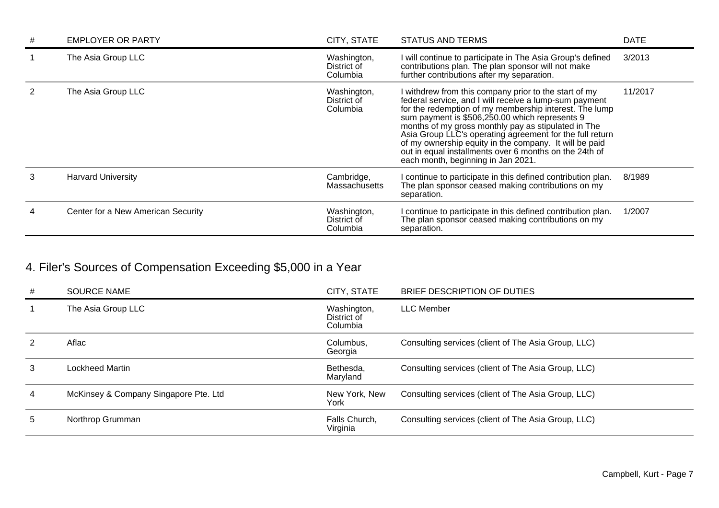| # | <b>EMPLOYER OR PARTY</b>           | CITY, STATE                            | <b>STATUS AND TERMS</b>                                                                                                                                                                                                                                                                                                                                                                                                                                                                                  | <b>DATE</b> |
|---|------------------------------------|----------------------------------------|----------------------------------------------------------------------------------------------------------------------------------------------------------------------------------------------------------------------------------------------------------------------------------------------------------------------------------------------------------------------------------------------------------------------------------------------------------------------------------------------------------|-------------|
|   | The Asia Group LLC                 | Washington,<br>District of<br>Columbia | I will continue to participate in The Asia Group's defined<br>contributions plan. The plan sponsor will not make<br>further contributions after my separation.                                                                                                                                                                                                                                                                                                                                           | 3/2013      |
|   | The Asia Group LLC                 | Washington,<br>District of<br>Columbia | I withdrew from this company prior to the start of my<br>federal service, and I will receive a lump-sum payment<br>for the redemption of my membership interest. The lump<br>sum payment is \$506,250.00 which represents 9<br>months of my gross monthly pay as stipulated in The<br>Asia Group LLC's operating agreement for the full return<br>of my ownership equity in the company. It will be paid<br>out in equal installments over 6 months on the 24th of<br>each month, beginning in Jan 2021. | 11/2017     |
| 3 | <b>Harvard University</b>          | Cambridge,<br>Massachusetts            | I continue to participate in this defined contribution plan.<br>The plan sponsor ceased making contributions on my<br>separation.                                                                                                                                                                                                                                                                                                                                                                        | 8/1989      |
|   | Center for a New American Security | Washington,<br>District of<br>Columbia | I continue to participate in this defined contribution plan.<br>The plan sponsor ceased making contributions on my<br>separation.                                                                                                                                                                                                                                                                                                                                                                        | 1/2007      |

# 4. Filer's Sources of Compensation Exceeding \$5,000 in a Year

| # | <b>SOURCE NAME</b>                    | CITY, STATE                            | BRIEF DESCRIPTION OF DUTIES                         |
|---|---------------------------------------|----------------------------------------|-----------------------------------------------------|
|   | The Asia Group LLC                    | Washington,<br>District of<br>Columbia | <b>LLC</b> Member                                   |
| 2 | Aflac                                 | Columbus,<br>Georgia                   | Consulting services (client of The Asia Group, LLC) |
| 3 | Lockheed Martin                       | Bethesda,<br>Maryland                  | Consulting services (client of The Asia Group, LLC) |
| 4 | McKinsey & Company Singapore Pte. Ltd | New York, New<br>York                  | Consulting services (client of The Asia Group, LLC) |
| 5 | Northrop Grumman                      | Falls Church,<br>Virginia              | Consulting services (client of The Asia Group, LLC) |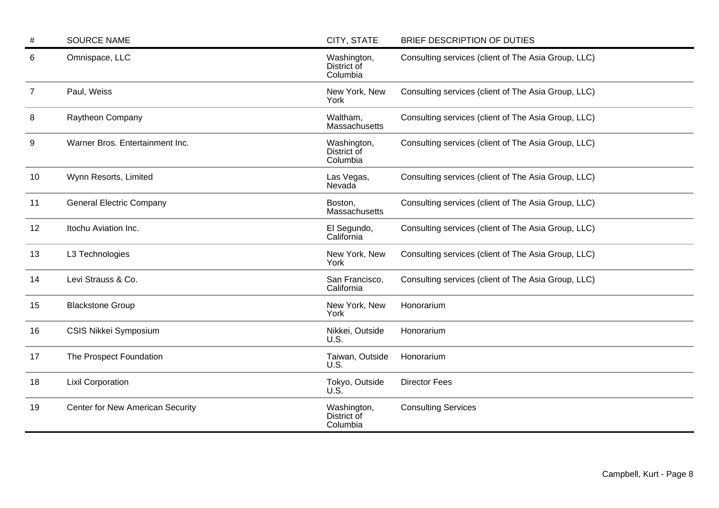| #  | <b>SOURCE NAME</b>               | CITY, STATE                            | BRIEF DESCRIPTION OF DUTIES                         |
|----|----------------------------------|----------------------------------------|-----------------------------------------------------|
| 6  | Omnispace, LLC                   | Washington,<br>District of<br>Columbia | Consulting services (client of The Asia Group, LLC) |
| 7  | Paul, Weiss                      | New York, New<br>York                  | Consulting services (client of The Asia Group, LLC) |
| 8  | Raytheon Company                 | Waltham,<br>Massachusetts              | Consulting services (client of The Asia Group, LLC) |
| 9  | Warner Bros. Entertainment Inc.  | Washington,<br>District of<br>Columbia | Consulting services (client of The Asia Group, LLC) |
| 10 | Wynn Resorts, Limited            | Las Vegas,<br>Nevada                   | Consulting services (client of The Asia Group, LLC) |
| 11 | <b>General Electric Company</b>  | Boston,<br>Massachusetts               | Consulting services (client of The Asia Group, LLC) |
| 12 | Itochu Aviation Inc.             | El Segundo,<br>California              | Consulting services (client of The Asia Group, LLC) |
| 13 | L3 Technologies                  | New York, New<br>York                  | Consulting services (client of The Asia Group, LLC) |
| 14 | Levi Strauss & Co.               | San Francisco,<br>California           | Consulting services (client of The Asia Group, LLC) |
| 15 | <b>Blackstone Group</b>          | New York, New<br>York                  | Honorarium                                          |
| 16 | CSIS Nikkei Symposium            | Nikkei, Outside<br>U.S.                | Honorarium                                          |
| 17 | The Prospect Foundation          | Taiwan, Outside<br>U.S.                | Honorarium                                          |
| 18 | <b>Lixil Corporation</b>         | Tokyo, Outside<br>U.S                  | <b>Director Fees</b>                                |
| 19 | Center for New American Security | Washington,<br>District of<br>Columbia | <b>Consulting Services</b>                          |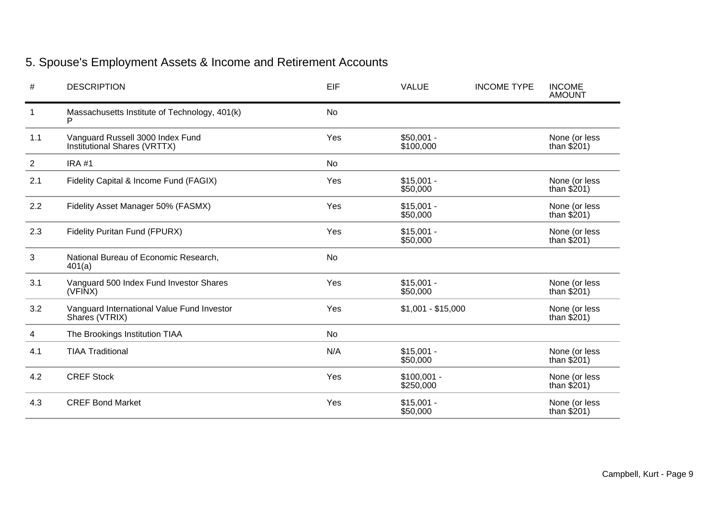# 5. Spouse's Employment Assets & Income and Retirement Accounts

| #              | <b>DESCRIPTION</b>                                               | EIF       | <b>VALUE</b>              | <b>INCOME TYPE</b> | <b>INCOME</b><br><b>AMOUNT</b> |
|----------------|------------------------------------------------------------------|-----------|---------------------------|--------------------|--------------------------------|
| 1              | Massachusetts Institute of Technology, 401(k)                    | <b>No</b> |                           |                    |                                |
| 1.1            | Vanguard Russell 3000 Index Fund<br>Institutional Shares (VRTTX) | Yes       | $$50,001 -$<br>\$100,000  |                    | None (or less<br>than $$201)$  |
| $\overline{2}$ | <b>IRA #1</b>                                                    | No        |                           |                    |                                |
| 2.1            | Fidelity Capital & Income Fund (FAGIX)                           | Yes       | $$15,001 -$<br>\$50,000   |                    | None (or less<br>than $$201)$  |
| 2.2            | Fidelity Asset Manager 50% (FASMX)                               | Yes       | $$15,001 -$<br>\$50,000   |                    | None (or less<br>than $$201)$  |
| 2.3            | Fidelity Puritan Fund (FPURX)                                    | Yes       | $$15,001 -$<br>\$50,000   |                    | None (or less<br>than $$201)$  |
| 3              | National Bureau of Economic Research,<br>401(a)                  | <b>No</b> |                           |                    |                                |
| 3.1            | Vanguard 500 Index Fund Investor Shares<br>(VFINX)               | Yes       | $$15,001 -$<br>\$50,000   |                    | None (or less<br>than $$201)$  |
| 3.2            | Vanguard International Value Fund Investor<br>Shares (VTRIX)     | Yes       | $$1,001 - $15,000$        |                    | None (or less<br>than $$201)$  |
| 4              | The Brookings Institution TIAA                                   | <b>No</b> |                           |                    |                                |
| 4.1            | <b>TIAA Traditional</b>                                          | N/A       | $$15,001 -$<br>\$50,000   |                    | None (or less<br>than $$201)$  |
| 4.2            | <b>CREF Stock</b>                                                | Yes       | $$100,001 -$<br>\$250,000 |                    | None (or less<br>than $$201)$  |
| 4.3            | <b>CREF Bond Market</b>                                          | Yes       | $$15,001 -$<br>\$50,000   |                    | None (or less<br>than $$201)$  |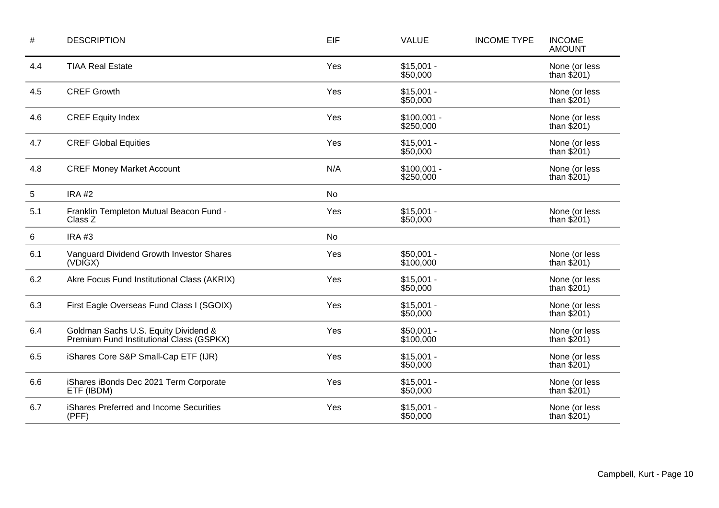| #          | <b>DESCRIPTION</b>                                                               | EIF       | <b>VALUE</b>              | <b>INCOME TYPE</b> | <b>INCOME</b><br><b>AMOUNT</b> |
|------------|----------------------------------------------------------------------------------|-----------|---------------------------|--------------------|--------------------------------|
| 4.4        | <b>TIAA Real Estate</b>                                                          | Yes       | $$15,001 -$<br>\$50,000   |                    | None (or less<br>than $$201)$  |
| 4.5        | <b>CREF Growth</b>                                                               | Yes       | $$15,001 -$<br>\$50,000   |                    | None (or less<br>than $$201)$  |
| 4.6        | <b>CREF Equity Index</b>                                                         | Yes       | $$100,001 -$<br>\$250,000 |                    | None (or less<br>than $$201)$  |
| 4.7        | <b>CREF Global Equities</b>                                                      | Yes       | $$15,001 -$<br>\$50,000   |                    | None (or less<br>than $$201)$  |
| 4.8        | <b>CREF Money Market Account</b>                                                 | N/A       | $$100,001 -$<br>\$250,000 |                    | None (or less<br>than $$201)$  |
| $\sqrt{5}$ | <b>IRA #2</b>                                                                    | <b>No</b> |                           |                    |                                |
| 5.1        | Franklin Templeton Mutual Beacon Fund -<br>Class Z                               | Yes       | $$15,001 -$<br>\$50,000   |                    | None (or less<br>than $$201)$  |
| 6          | <b>IRA #3</b>                                                                    | No        |                           |                    |                                |
| 6.1        | Vanguard Dividend Growth Investor Shares<br>(VDIGX)                              | Yes       | $$50,001 -$<br>\$100,000  |                    | None (or less<br>than $$201)$  |
| 6.2        | Akre Focus Fund Institutional Class (AKRIX)                                      | Yes       | $$15,001 -$<br>\$50,000   |                    | None (or less<br>than $$201)$  |
| 6.3        | First Eagle Overseas Fund Class I (SGOIX)                                        | Yes       | $$15,001 -$<br>\$50,000   |                    | None (or less<br>than $$201)$  |
| 6.4        | Goldman Sachs U.S. Equity Dividend &<br>Premium Fund Institutional Class (GSPKX) | Yes       | $$50,001 -$<br>\$100,000  |                    | None (or less<br>than $$201)$  |
| 6.5        | iShares Core S&P Small-Cap ETF (IJR)                                             | Yes       | $$15,001 -$<br>\$50,000   |                    | None (or less<br>than $$201)$  |
| 6.6        | iShares iBonds Dec 2021 Term Corporate<br>ETF (IBDM)                             | Yes       | $$15,001 -$<br>\$50,000   |                    | None (or less<br>than $$201)$  |
| 6.7        | iShares Preferred and Income Securities<br>(PFF)                                 | Yes       | $$15,001 -$<br>\$50,000   |                    | None (or less<br>than $$201)$  |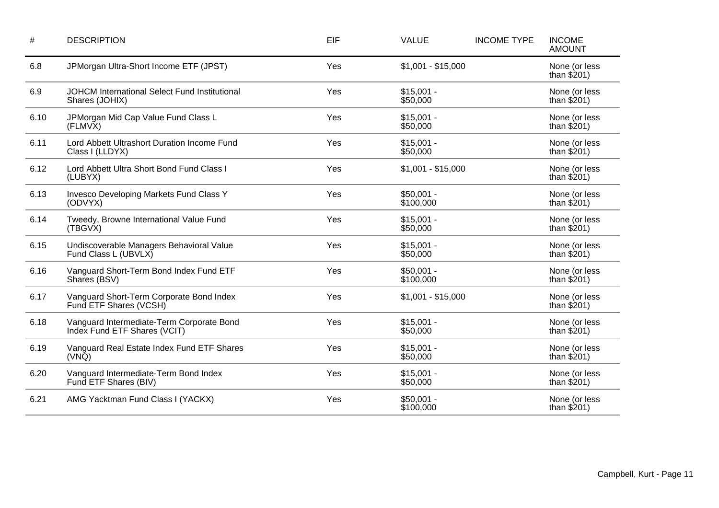| $\#$ | <b>DESCRIPTION</b>                                                        | EIF | <b>VALUE</b>             | <b>INCOME TYPE</b> | <b>INCOME</b><br><b>AMOUNT</b> |
|------|---------------------------------------------------------------------------|-----|--------------------------|--------------------|--------------------------------|
| 6.8  | JPMorgan Ultra-Short Income ETF (JPST)                                    | Yes | $$1,001 - $15,000$       |                    | None (or less<br>than $$201)$  |
| 6.9  | JOHCM International Select Fund Institutional<br>Shares (JOHIX)           | Yes | $$15,001 -$<br>\$50,000  |                    | None (or less<br>than $$201)$  |
| 6.10 | JPMorgan Mid Cap Value Fund Class L<br>(FLMVX)                            | Yes | $$15,001 -$<br>\$50,000  |                    | None (or less<br>than $$201)$  |
| 6.11 | Lord Abbett Ultrashort Duration Income Fund<br>Class I (LLDYX)            | Yes | $$15,001 -$<br>\$50,000  |                    | None (or less<br>than $$201)$  |
| 6.12 | Lord Abbett Ultra Short Bond Fund Class I<br>(LUBYX)                      | Yes | $$1,001 - $15,000$       |                    | None (or less<br>than $$201)$  |
| 6.13 | Invesco Developing Markets Fund Class Y<br>(ODVYX)                        | Yes | $$50,001 -$<br>\$100,000 |                    | None (or less<br>than $$201)$  |
| 6.14 | Tweedy, Browne International Value Fund<br>(TBGVX)                        | Yes | $$15,001 -$<br>\$50,000  |                    | None (or less<br>than $$201)$  |
| 6.15 | Undiscoverable Managers Behavioral Value<br>Fund Class L (UBVLX)          | Yes | $$15,001 -$<br>\$50,000  |                    | None (or less<br>than $$201)$  |
| 6.16 | Vanguard Short-Term Bond Index Fund ETF<br>Shares (BSV)                   | Yes | $$50,001 -$<br>\$100,000 |                    | None (or less<br>than $$201$ ) |
| 6.17 | Vanguard Short-Term Corporate Bond Index<br>Fund ETF Shares (VCSH)        | Yes | $$1,001 - $15,000$       |                    | None (or less<br>than $$201)$  |
| 6.18 | Vanguard Intermediate-Term Corporate Bond<br>Index Fund ETF Shares (VCIT) | Yes | $$15,001 -$<br>\$50,000  |                    | None (or less<br>than $$201)$  |
| 6.19 | Vanguard Real Estate Index Fund ETF Shares<br>$(VN\bar{Q})$               | Yes | $$15,001 -$<br>\$50,000  |                    | None (or less<br>than $$201)$  |
| 6.20 | Vanguard Intermediate-Term Bond Index<br>Fund ETF Shares (BIV)            | Yes | $$15,001 -$<br>\$50,000  |                    | None (or less<br>than $$201)$  |
| 6.21 | AMG Yacktman Fund Class I (YACKX)                                         | Yes | $$50,001 -$<br>\$100,000 |                    | None (or less<br>than $$201)$  |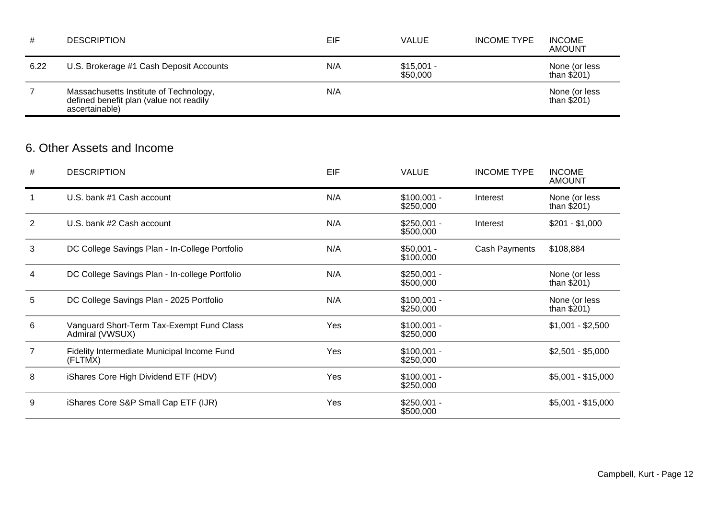| #    | <b>DESCRIPTION</b>                                                                                  | EIF | <b>VALUE</b>            | <b>INCOME TYPE</b> | <b>INCOME</b><br><b>AMOUNT</b> |
|------|-----------------------------------------------------------------------------------------------------|-----|-------------------------|--------------------|--------------------------------|
| 6.22 | U.S. Brokerage #1 Cash Deposit Accounts                                                             | N/A | $$15,001 -$<br>\$50,000 |                    | None (or less<br>than $$201)$  |
|      | Massachusetts Institute of Technology,<br>defined benefit plan (value not readily<br>ascertainable) | N/A |                         |                    | None (or less<br>than $$201)$  |
|      |                                                                                                     |     |                         |                    |                                |

## 6. Other Assets and Income

| #              | <b>DESCRIPTION</b>                                           | EIF | <b>VALUE</b>              | <b>INCOME TYPE</b> | <b>INCOME</b><br><b>AMOUNT</b> |
|----------------|--------------------------------------------------------------|-----|---------------------------|--------------------|--------------------------------|
|                | U.S. bank #1 Cash account                                    | N/A | $$100,001 -$<br>\$250,000 | Interest           | None (or less<br>than $$201)$  |
| $\overline{2}$ | U.S. bank #2 Cash account                                    | N/A | $$250,001 -$<br>\$500,000 | Interest           | $$201 - $1,000$                |
| 3              | DC College Savings Plan - In-College Portfolio               | N/A | $$50,001 -$<br>\$100,000  | Cash Payments      | \$108,884                      |
| 4              | DC College Savings Plan - In-college Portfolio               | N/A | $$250,001 -$<br>\$500,000 |                    | None (or less<br>than $$201)$  |
| 5              | DC College Savings Plan - 2025 Portfolio                     | N/A | $$100,001 -$<br>\$250,000 |                    | None (or less<br>than $$201)$  |
| 6              | Vanguard Short-Term Tax-Exempt Fund Class<br>Admiral (VWSUX) | Yes | $$100,001 -$<br>\$250,000 |                    | $$1,001 - $2,500$              |
| $\overline{7}$ | Fidelity Intermediate Municipal Income Fund<br>(FLTMX)       | Yes | $$100,001 -$<br>\$250,000 |                    | $$2,501 - $5,000$              |
| 8              | iShares Core High Dividend ETF (HDV)                         | Yes | $$100,001 -$<br>\$250,000 |                    | $$5,001 - $15,000$             |
| 9              | iShares Core S&P Small Cap ETF (IJR)                         | Yes | $$250,001 -$<br>\$500,000 |                    | $$5,001 - $15,000$             |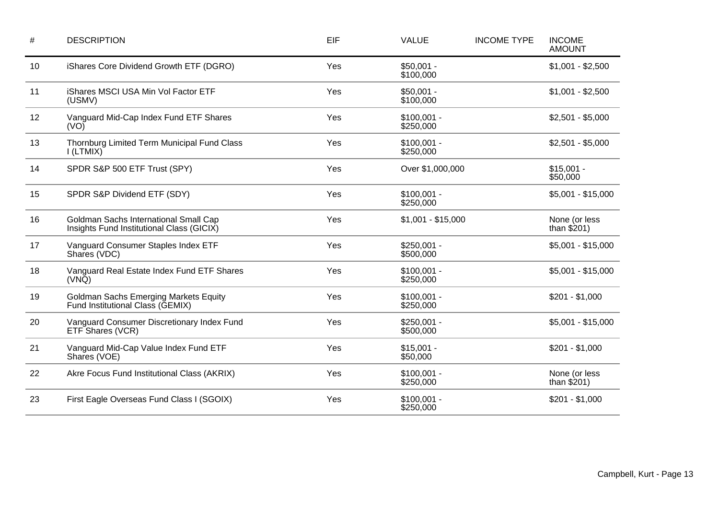| $\#$ | <b>DESCRIPTION</b>                                                                 | EIF | <b>VALUE</b>              | <b>INCOME TYPE</b> | <b>INCOME</b><br><b>AMOUNT</b> |
|------|------------------------------------------------------------------------------------|-----|---------------------------|--------------------|--------------------------------|
| 10   | iShares Core Dividend Growth ETF (DGRO)                                            | Yes | $$50,001 -$<br>\$100,000  |                    | $$1,001 - $2,500$              |
| 11   | iShares MSCI USA Min Vol Factor ETF<br>(USMV)                                      | Yes | $$50,001 -$<br>\$100,000  |                    | $$1,001 - $2,500$              |
| 12   | Vanguard Mid-Cap Index Fund ETF Shares<br>(VO)                                     | Yes | $$100,001 -$<br>\$250,000 |                    | $$2,501 - $5,000$              |
| 13   | Thornburg Limited Term Municipal Fund Class<br>I(LTMIX)                            | Yes | $$100,001 -$<br>\$250,000 |                    | $$2,501 - $5,000$              |
| 14   | SPDR S&P 500 ETF Trust (SPY)                                                       | Yes | Over \$1,000,000          |                    | $$15,001 -$<br>\$50,000        |
| 15   | SPDR S&P Dividend ETF (SDY)                                                        | Yes | $$100,001 -$<br>\$250,000 |                    | $$5,001 - $15,000$             |
| 16   | Goldman Sachs International Small Cap<br>Insights Fund Institutional Class (GICIX) | Yes | $$1,001 - $15,000$        |                    | None (or less<br>than $$201)$  |
| 17   | Vanguard Consumer Staples Index ETF<br>Shares (VDC)                                | Yes | $$250,001 -$<br>\$500,000 |                    | $$5,001 - $15,000$             |
| 18   | Vanguard Real Estate Index Fund ETF Shares<br>$(VN\bar{Q})$                        | Yes | $$100,001 -$<br>\$250,000 |                    | $$5,001 - $15,000$             |
| 19   | <b>Goldman Sachs Emerging Markets Equity</b><br>Fund Institutional Class (GEMIX)   | Yes | $$100,001 -$<br>\$250,000 |                    | $$201 - $1,000$                |
| 20   | Vanguard Consumer Discretionary Index Fund<br>ETF Shares (VCR)                     | Yes | $$250,001 -$<br>\$500,000 |                    | $$5,001 - $15,000$             |
| 21   | Vanguard Mid-Cap Value Index Fund ETF<br>Shares (VOE)                              | Yes | $$15,001 -$<br>\$50,000   |                    | $$201 - $1,000$                |
| 22   | Akre Focus Fund Institutional Class (AKRIX)                                        | Yes | $$100,001 -$<br>\$250,000 |                    | None (or less<br>than $$201)$  |
| 23   | First Eagle Overseas Fund Class I (SGOIX)                                          | Yes | $$100,001 -$<br>\$250,000 |                    | $$201 - $1,000$                |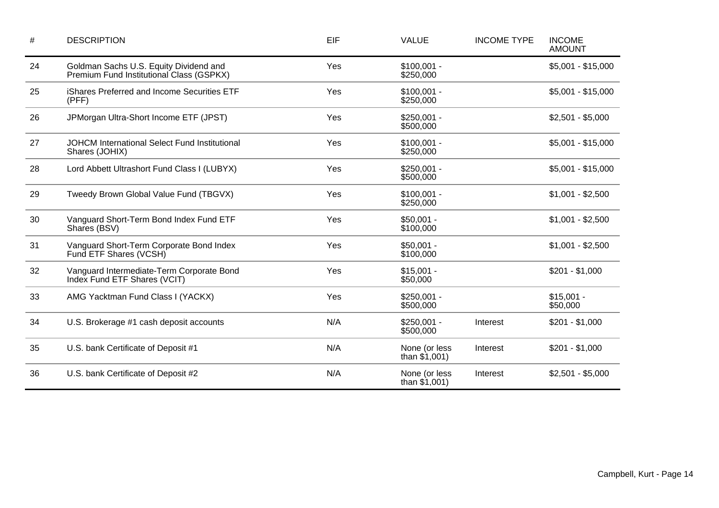| $\#$ | <b>DESCRIPTION</b>                                                                 | EIF | <b>VALUE</b>                     | <b>INCOME TYPE</b> | <b>INCOME</b><br><b>AMOUNT</b> |
|------|------------------------------------------------------------------------------------|-----|----------------------------------|--------------------|--------------------------------|
| 24   | Goldman Sachs U.S. Equity Dividend and<br>Premium Fund Institutional Class (GSPKX) | Yes | $$100,001 -$<br>\$250,000        |                    | $$5,001 - $15,000$             |
| 25   | iShares Preferred and Income Securities ETF<br>(PFF)                               | Yes | $$100,001 -$<br>\$250,000        |                    | $$5,001 - $15,000$             |
| 26   | JPMorgan Ultra-Short Income ETF (JPST)                                             | Yes | $$250,001 -$<br>\$500,000        |                    | $$2,501 - $5,000$              |
| 27   | JOHCM International Select Fund Institutional<br>Shares (JOHIX)                    | Yes | $$100,001 -$<br>\$250,000        |                    | $$5,001 - $15,000$             |
| 28   | Lord Abbett Ultrashort Fund Class I (LUBYX)                                        | Yes | $$250,001 -$<br>\$500,000        |                    | $$5,001 - $15,000$             |
| 29   | Tweedy Brown Global Value Fund (TBGVX)                                             | Yes | $$100,001 -$<br>\$250,000        |                    | $$1,001 - $2,500$              |
| 30   | Vanguard Short-Term Bond Index Fund ETF<br>Shares (BSV)                            | Yes | $$50,001 -$<br>\$100,000         |                    | $$1,001 - $2,500$              |
| 31   | Vanguard Short-Term Corporate Bond Index<br>Fund ETF Shares (VCSH)                 | Yes | $$50,001 -$<br>\$100,000         |                    | $$1,001 - $2,500$              |
| 32   | Vanguard Intermediate-Term Corporate Bond<br>Index Fund ETF Shares (VCIT)          | Yes | $$15,001 -$<br>\$50,000          |                    | $$201 - $1,000$                |
| 33   | AMG Yacktman Fund Class I (YACKX)                                                  | Yes | $$250,001 -$<br>\$500,000        |                    | $$15,001 -$<br>\$50,000        |
| 34   | U.S. Brokerage #1 cash deposit accounts                                            | N/A | $$250,001 -$<br>\$500,000        | Interest           | $$201 - $1,000$                |
| 35   | U.S. bank Certificate of Deposit #1                                                | N/A | None (or less<br>than $$1,001$ ) | Interest           | $$201 - $1,000$                |
| 36   | U.S. bank Certificate of Deposit #2                                                | N/A | None (or less<br>than $$1,001$ ) | Interest           | $$2,501 - $5,000$              |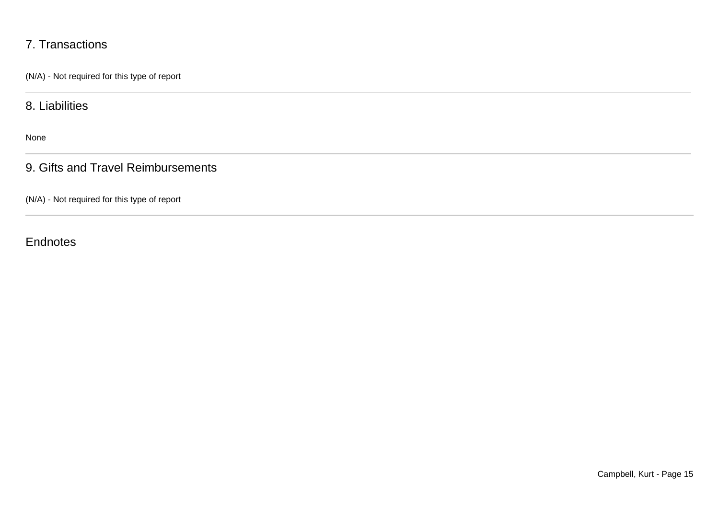## 7. Transactions

(N/A) - Not required for this type of report

8. Liabilities

None

9. Gifts and Travel Reimbursements

(N/A) - Not required for this type of report

**Endnotes**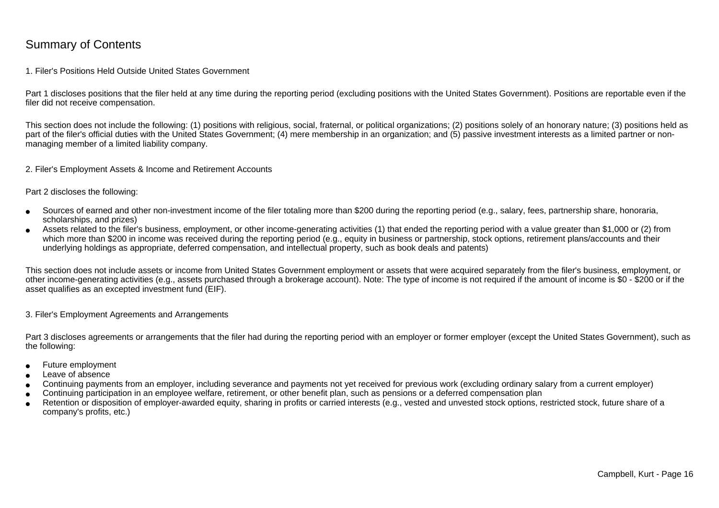### Summary of Contents

#### 1. Filer's Positions Held Outside United States Government

Part 1 discloses positions that the filer held at any time during the reporting period (excluding positions with the United States Government). Positions are reportable even if the filer did not receive compensation.

This section does not include the following: (1) positions with religious, social, fraternal, or political organizations; (2) positions solely of an honorary nature; (3) positions held aspart of the filer's official duties with the United States Government; (4) mere membership in an organization; and (5) passive investment interests as a limited partner or nonmanaging member of a limited liability company.

2. Filer's Employment Assets & Income and Retirement Accounts

Part 2 discloses the following:

- ●Sources of earned and other non-investment income of the filer totaling more than \$200 during the reporting period (e.g., salary, fees, partnership share, honoraria,scholarships, and prizes)
- ● Assets related to the filer's business, employment, or other income-generating activities (1) that ended the reporting period with a value greater than \$1,000 or (2) fromwhich more than \$200 in income was received during the reporting period (e.g., equity in business or partnership, stock options, retirement plans/accounts and their underlying holdings as appropriate, deferred compensation, and intellectual property, such as book deals and patents)

This section does not include assets or income from United States Government employment or assets that were acquired separately from the filer's business, employment, or other income-generating activities (e.g., assets purchased through a brokerage account). Note: The type of income is not required if the amount of income is \$0 - \$200 or if theasset qualifies as an excepted investment fund (EIF).

3. Filer's Employment Agreements and Arrangements

Part 3 discloses agreements or arrangements that the filer had during the reporting period with an employer or former employer (except the United States Government), such as the following:

- ●Future employment
- ●Leave of absence
- ●Continuing payments from an employer, including severance and payments not yet received for previous work (excluding ordinary salary from a current employer)
- ●Continuing participation in an employee welfare, retirement, or other benefit plan, such as pensions or a deferred compensation plan
- ● Retention or disposition of employer-awarded equity, sharing in profits or carried interests (e.g., vested and unvested stock options, restricted stock, future share of acompany's profits, etc.)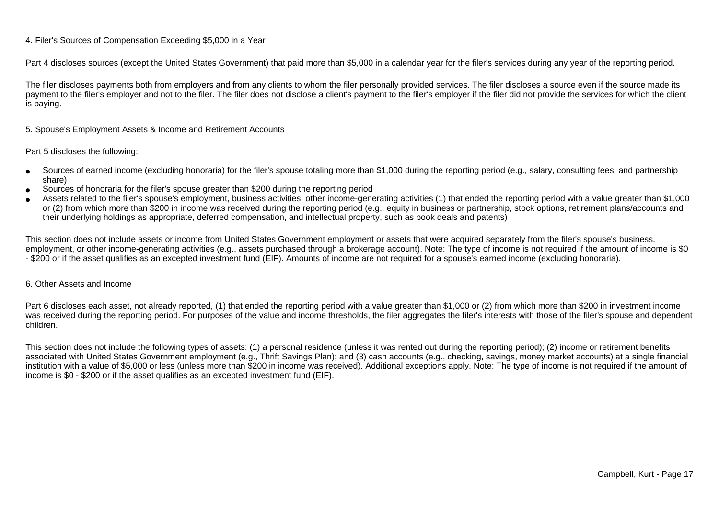#### 4. Filer's Sources of Compensation Exceeding \$5,000 in a Year

Part 4 discloses sources (except the United States Government) that paid more than \$5,000 in a calendar year for the filer's services during any year of the reporting period.

The filer discloses payments both from employers and from any clients to whom the filer personally provided services. The filer discloses a source even if the source made itspayment to the filer's employer and not to the filer. The filer does not disclose a client's payment to the filer's employer if the filer did not provide the services for which the client is paying.

5. Spouse's Employment Assets & Income and Retirement Accounts

#### Part 5 discloses the following:

- ●Sources of earned income (excluding honoraria) for the filer's spouse totaling more than \$1,000 during the reporting period (e.g., salary, consulting fees, and partnershipshare)
- ●Sources of honoraria for the filer's spouse greater than \$200 during the reporting period
- ● Assets related to the filer's spouse's employment, business activities, other income-generating activities (1) that ended the reporting period with a value greater than \$1,000or (2) from which more than \$200 in income was received during the reporting period (e.g., equity in business or partnership, stock options, retirement plans/accounts and their underlying holdings as appropriate, deferred compensation, and intellectual property, such as book deals and patents)

This section does not include assets or income from United States Government employment or assets that were acquired separately from the filer's spouse's business,employment, or other income-generating activities (e.g., assets purchased through a brokerage account). Note: The type of income is not required if the amount of income is \$0 - \$200 or if the asset qualifies as an excepted investment fund (EIF). Amounts of income are not required for a spouse's earned income (excluding honoraria).

#### 6. Other Assets and Income

Part 6 discloses each asset, not already reported, (1) that ended the reporting period with a value greater than \$1,000 or (2) from which more than \$200 in investment income was received during the reporting period. For purposes of the value and income thresholds, the filer aggregates the filer's interests with those of the filer's spouse and dependentchildren.

This section does not include the following types of assets: (1) a personal residence (unless it was rented out during the reporting period); (2) income or retirement benefits associated with United States Government employment (e.g., Thrift Savings Plan); and (3) cash accounts (e.g., checking, savings, money market accounts) at a single financial institution with a value of \$5,000 or less (unless more than \$200 in income was received). Additional exceptions apply. Note: The type of income is not required if the amount ofincome is \$0 - \$200 or if the asset qualifies as an excepted investment fund (EIF).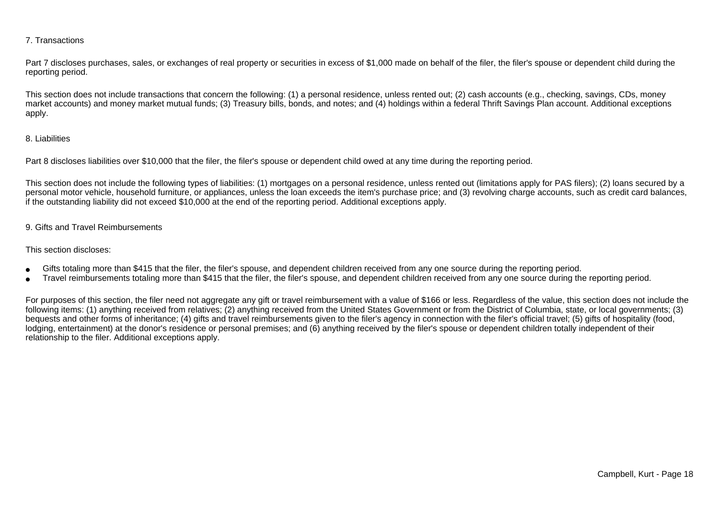#### 7. Transactions

Part 7 discloses purchases, sales, or exchanges of real property or securities in excess of \$1,000 made on behalf of the filer, the filer's spouse or dependent child during the reporting period.

This section does not include transactions that concern the following: (1) a personal residence, unless rented out; (2) cash accounts (e.g., checking, savings, CDs, money market accounts) and money market mutual funds; (3) Treasury bills, bonds, and notes; and (4) holdings within a federal Thrift Savings Plan account. Additional exceptionsapply.

#### 8. Liabilities

Part 8 discloses liabilities over \$10,000 that the filer, the filer's spouse or dependent child owed at any time during the reporting period.

This section does not include the following types of liabilities: (1) mortgages on a personal residence, unless rented out (limitations apply for PAS filers); (2) loans secured by a personal motor vehicle, household furniture, or appliances, unless the loan exceeds the item's purchase price; and (3) revolving charge accounts, such as credit card balances,if the outstanding liability did not exceed \$10,000 at the end of the reporting period. Additional exceptions apply.

#### 9. Gifts and Travel Reimbursements

#### This section discloses:

- ●Gifts totaling more than \$415 that the filer, the filer's spouse, and dependent children received from any one source during the reporting period.
- ●Travel reimbursements totaling more than \$415 that the filer, the filer's spouse, and dependent children received from any one source during the reporting period.

For purposes of this section, the filer need not aggregate any gift or travel reimbursement with a value of \$166 or less. Regardless of the value, this section does not include the following items: (1) anything received from relatives; (2) anything received from the United States Government or from the District of Columbia, state, or local governments; (3)bequests and other forms of inheritance; (4) gifts and travel reimbursements given to the filer's agency in connection with the filer's official travel; (5) gifts of hospitality (food,lodging, entertainment) at the donor's residence or personal premises; and (6) anything received by the filer's spouse or dependent children totally independent of theirrelationship to the filer. Additional exceptions apply.